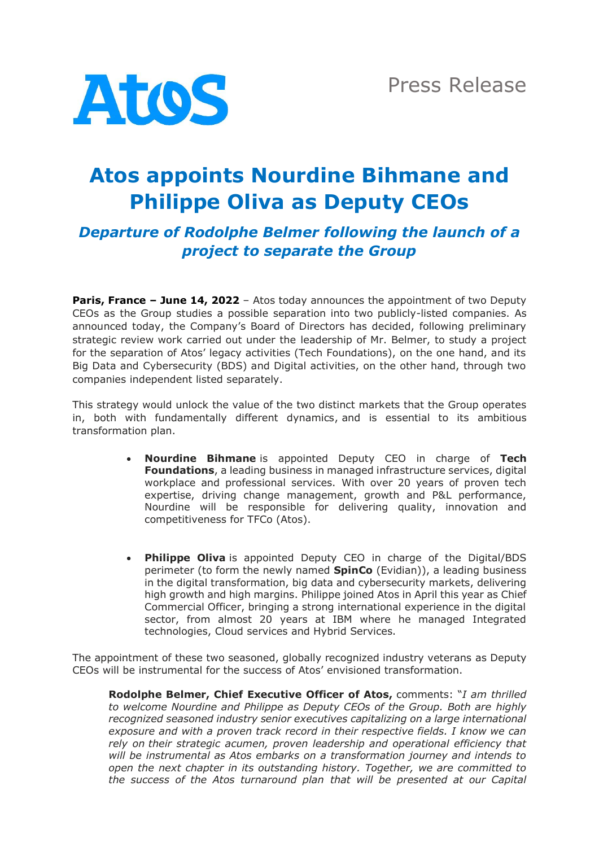

# **Atos appoints Nourdine Bihmane and Philippe Oliva as Deputy CEOs**

# *Departure of Rodolphe Belmer following the launch of a project to separate the Group*

**Paris, France – June 14, 2022** – Atos today announces the appointment of two Deputy CEOs as the Group studies a possible separation into two publicly-listed companies. As announced today, the Company's Board of Directors has decided, following preliminary strategic review work carried out under the leadership of Mr. Belmer, to study a project for the separation of Atos' legacy activities (Tech Foundations), on the one hand, and its Big Data and Cybersecurity (BDS) and Digital activities, on the other hand, through two companies independent listed separately.

This strategy would unlock the value of the two distinct markets that the Group operates in, both with fundamentally different dynamics, and is essential to its ambitious transformation plan.

- **Nourdine Bihmane** is appointed Deputy CEO in charge of **Tech Foundations**, a leading business in managed infrastructure services, digital workplace and professional services. With over 20 years of proven tech expertise, driving change management, growth and P&L performance, Nourdine will be responsible for delivering quality, innovation and competitiveness for TFCo (Atos).
- **Philippe Oliva** is appointed Deputy CEO in charge of the Digital/BDS perimeter (to form the newly named **SpinCo** (Evidian)), a leading business in the digital transformation, big data and cybersecurity markets, delivering high growth and high margins. Philippe joined Atos in April this year as Chief Commercial Officer, bringing a strong international experience in the digital sector, from almost 20 years at IBM where he managed Integrated technologies, Cloud services and Hybrid Services.

The appointment of these two seasoned, globally recognized industry veterans as Deputy CEOs will be instrumental for the success of Atos' envisioned transformation.

**Rodolphe Belmer, Chief Executive Officer of Atos,** comments: "*I am thrilled to welcome Nourdine and Philippe as Deputy CEOs of the Group. Both are highly recognized seasoned industry senior executives capitalizing on a large international exposure and with a proven track record in their respective fields. I know we can rely on their strategic acumen, proven leadership and operational efficiency that will be instrumental as Atos embarks on a transformation journey and intends to open the next chapter in its outstanding history. Together, we are committed to the success of the Atos turnaround plan that will be presented at our Capital*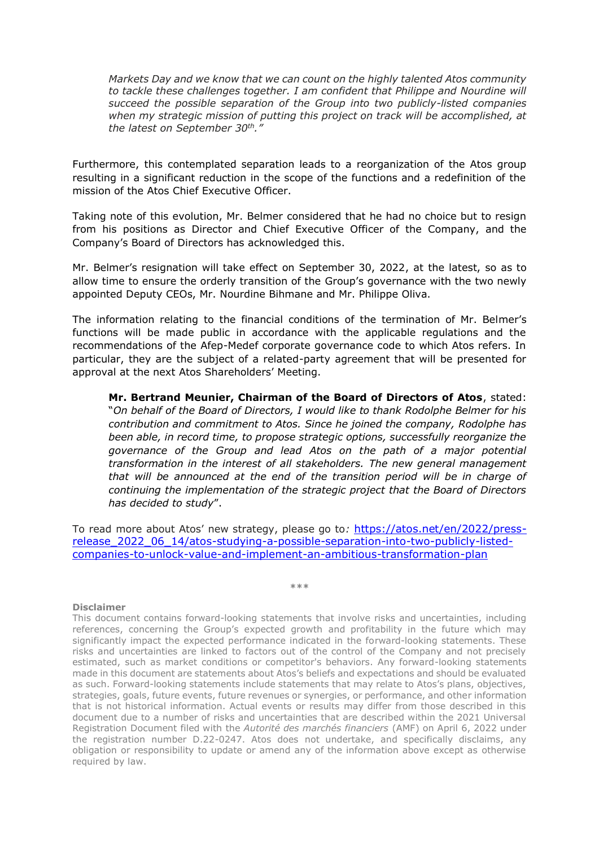*Markets Day and we know that we can count on the highly talented Atos community to tackle these challenges together. I am confident that Philippe and Nourdine will succeed the possible separation of the Group into two publicly-listed companies when my strategic mission of putting this project on track will be accomplished, at the latest on September 30th."*

Furthermore, this contemplated separation leads to a reorganization of the Atos group resulting in a significant reduction in the scope of the functions and a redefinition of the mission of the Atos Chief Executive Officer.

Taking note of this evolution, Mr. Belmer considered that he had no choice but to resign from his positions as Director and Chief Executive Officer of the Company, and the Company's Board of Directors has acknowledged this.

Mr. Belmer's resignation will take effect on September 30, 2022, at the latest, so as to allow time to ensure the orderly transition of the Group's governance with the two newly appointed Deputy CEOs, Mr. Nourdine Bihmane and Mr. Philippe Oliva.

The information relating to the financial conditions of the termination of Mr. Belmer's functions will be made public in accordance with the applicable regulations and the recommendations of the Afep-Medef corporate governance code to which Atos refers. In particular, they are the subject of a related-party agreement that will be presented for approval at the next Atos Shareholders' Meeting.

**Mr. Bertrand Meunier, Chairman of the Board of Directors of Atos**, stated: "*On behalf of the Board of Directors, I would like to thank Rodolphe Belmer for his contribution and commitment to Atos. Since he joined the company, Rodolphe has been able, in record time, to propose strategic options, successfully reorganize the governance of the Group and lead Atos on the path of a major potential transformation in the interest of all stakeholders. The new general management that will be announced at the end of the transition period will be in charge of continuing the implementation of the strategic project that the Board of Directors has decided to study*".

To read more about Atos' new strategy, please go to*:* [https://atos.net/en/2022/press](https://atos.net/en/2022/press-release_2022_06_14/atos-studying-a-possible-separation-into-two-publicly-listed-companies-to-unlock-value-and-implement-an-ambitious-transformation-plan)[release\\_2022\\_06\\_14/atos-studying-a-possible-separation-into-two-publicly-listed](https://atos.net/en/2022/press-release_2022_06_14/atos-studying-a-possible-separation-into-two-publicly-listed-companies-to-unlock-value-and-implement-an-ambitious-transformation-plan)[companies-to-unlock-value-and-implement-an-ambitious-transformation-plan](https://atos.net/en/2022/press-release_2022_06_14/atos-studying-a-possible-separation-into-two-publicly-listed-companies-to-unlock-value-and-implement-an-ambitious-transformation-plan)

#### **\*\*\***

#### **Disclaimer**

This document contains forward-looking statements that involve risks and uncertainties, including references, concerning the Group's expected growth and profitability in the future which may significantly impact the expected performance indicated in the forward-looking statements. These risks and uncertainties are linked to factors out of the control of the Company and not precisely estimated, such as market conditions or competitor's behaviors. Any forward-looking statements made in this document are statements about Atos's beliefs and expectations and should be evaluated as such. Forward-looking statements include statements that may relate to Atos's plans, objectives, strategies, goals, future events, future revenues or synergies, or performance, and other information that is not historical information. Actual events or results may differ from those described in this document due to a number of risks and uncertainties that are described within the 2021 Universal Registration Document filed with the *Autorité des marchés financiers* (AMF) on April 6, 2022 under the registration number D.22-0247. Atos does not undertake, and specifically disclaims, any obligation or responsibility to update or amend any of the information above except as otherwise required by law.